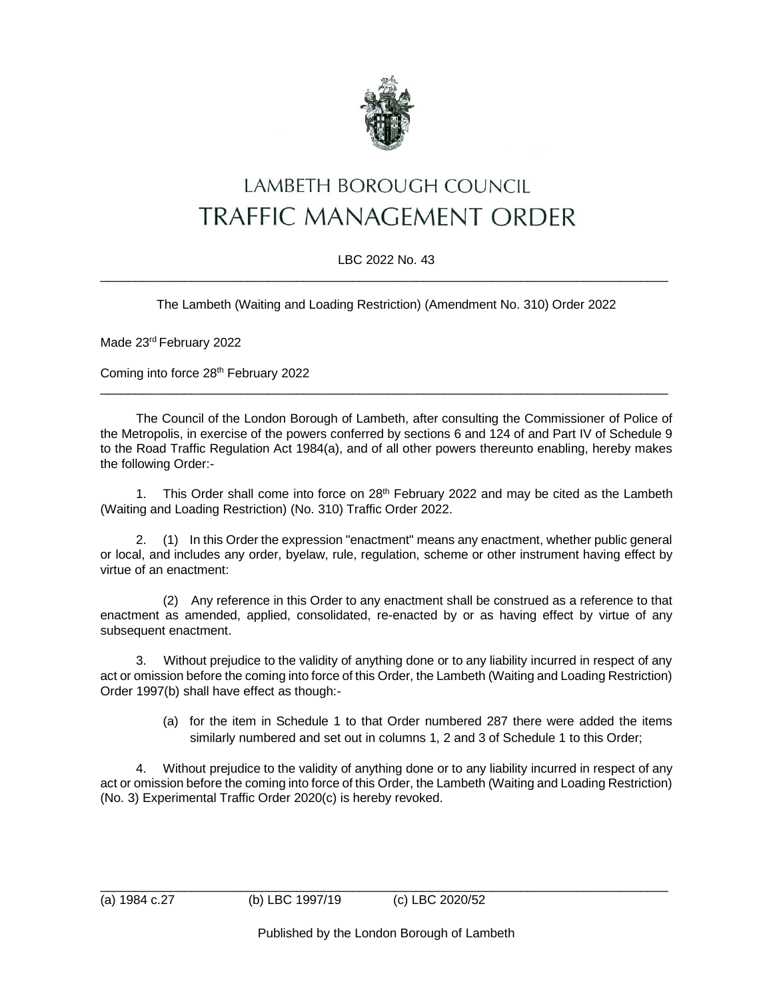

## LAMBETH BOROUGH COUNCIL **TRAFFIC MANAGEMENT ORDER**

## LBC 2022 No. 43  $\_$  , and the set of the set of the set of the set of the set of the set of the set of the set of the set of the set of the set of the set of the set of the set of the set of the set of the set of the set of the set of th

The Lambeth (Waiting and Loading Restriction) (Amendment No. 310) Order 2022

Made 23rd February 2022

Coming into force 28th February 2022

The Council of the London Borough of Lambeth, after consulting the Commissioner of Police of the Metropolis, in exercise of the powers conferred by sections 6 and 124 of and Part IV of Schedule 9 to the Road Traffic Regulation Act 1984(a), and of all other powers thereunto enabling, hereby makes the following Order:-

 $\_$  , and the set of the set of the set of the set of the set of the set of the set of the set of the set of the set of the set of the set of the set of the set of the set of the set of the set of the set of the set of th

1. This Order shall come into force on  $28<sup>th</sup>$  February 2022 and may be cited as the Lambeth (Waiting and Loading Restriction) (No. 310) Traffic Order 2022.

2. (1) In this Order the expression "enactment" means any enactment, whether public general or local, and includes any order, byelaw, rule, regulation, scheme or other instrument having effect by virtue of an enactment:

(2) Any reference in this Order to any enactment shall be construed as a reference to that enactment as amended, applied, consolidated, re-enacted by or as having effect by virtue of any subsequent enactment.

3. Without prejudice to the validity of anything done or to any liability incurred in respect of any act or omission before the coming into force of this Order, the Lambeth (Waiting and Loading Restriction) Order 1997(b) shall have effect as though:-

> (a) for the item in Schedule 1 to that Order numbered 287 there were added the items similarly numbered and set out in columns 1, 2 and 3 of Schedule 1 to this Order;

4. Without prejudice to the validity of anything done or to any liability incurred in respect of any act or omission before the coming into force of this Order, the Lambeth (Waiting and Loading Restriction) (No. 3) Experimental Traffic Order 2020(c) is hereby revoked.

\_\_\_\_\_\_\_\_\_\_\_\_\_\_\_\_\_\_\_\_\_\_\_\_\_\_\_\_\_\_\_\_\_\_\_\_\_\_\_\_\_\_\_\_\_\_\_\_\_\_\_\_\_\_\_\_\_\_\_\_\_\_\_\_\_\_\_\_\_\_\_\_\_\_\_\_\_\_\_\_\_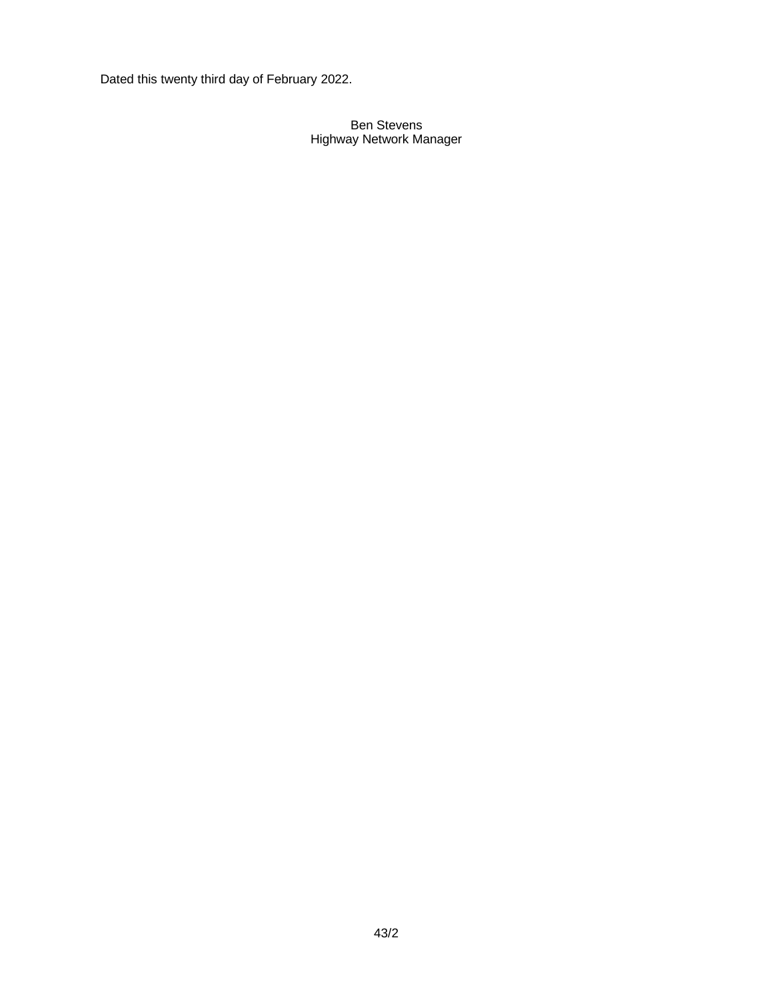Dated this twenty third day of February 2022.

## Ben Stevens Highway Network Manager